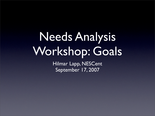## Needs Analysis Workshop: Goals

Hilmar Lapp, NESCent September 17, 2007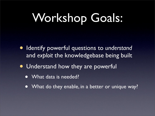# Workshop Goals:

- Identify powerful questions to *understand* and *exploit* the knowledgebase being built
- Understand how they are powerful
	- What data is needed?
	- What do they enable, in a better or unique way?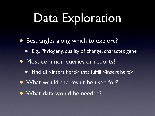## Data Exploration

- Best angles along which to explore?
	- E.g., Phylogeny, quality of change, character, gene
- Most common queries or reports?
	- Find all <insert here> that fulfill <insert here>
- What would the result be used for?
- What data would be needed?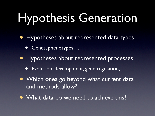# Hypothesis Generation

- Hypotheses about represented data types
	- Genes, phenotypes, ...
- Hypotheses about represented processes
	- Evolution, development, gene regulation, ...
- Which ones go beyond what current data and methods allow?
- What data do we need to achieve this?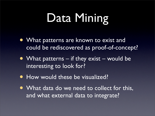## Data Mining

- What patterns are known to exist and could be rediscovered as proof-of-concept?
- What patterns if they exist would be interesting to look for?
- How would these be visualized?
- What data do we need to collect for this, and what external data to integrate?